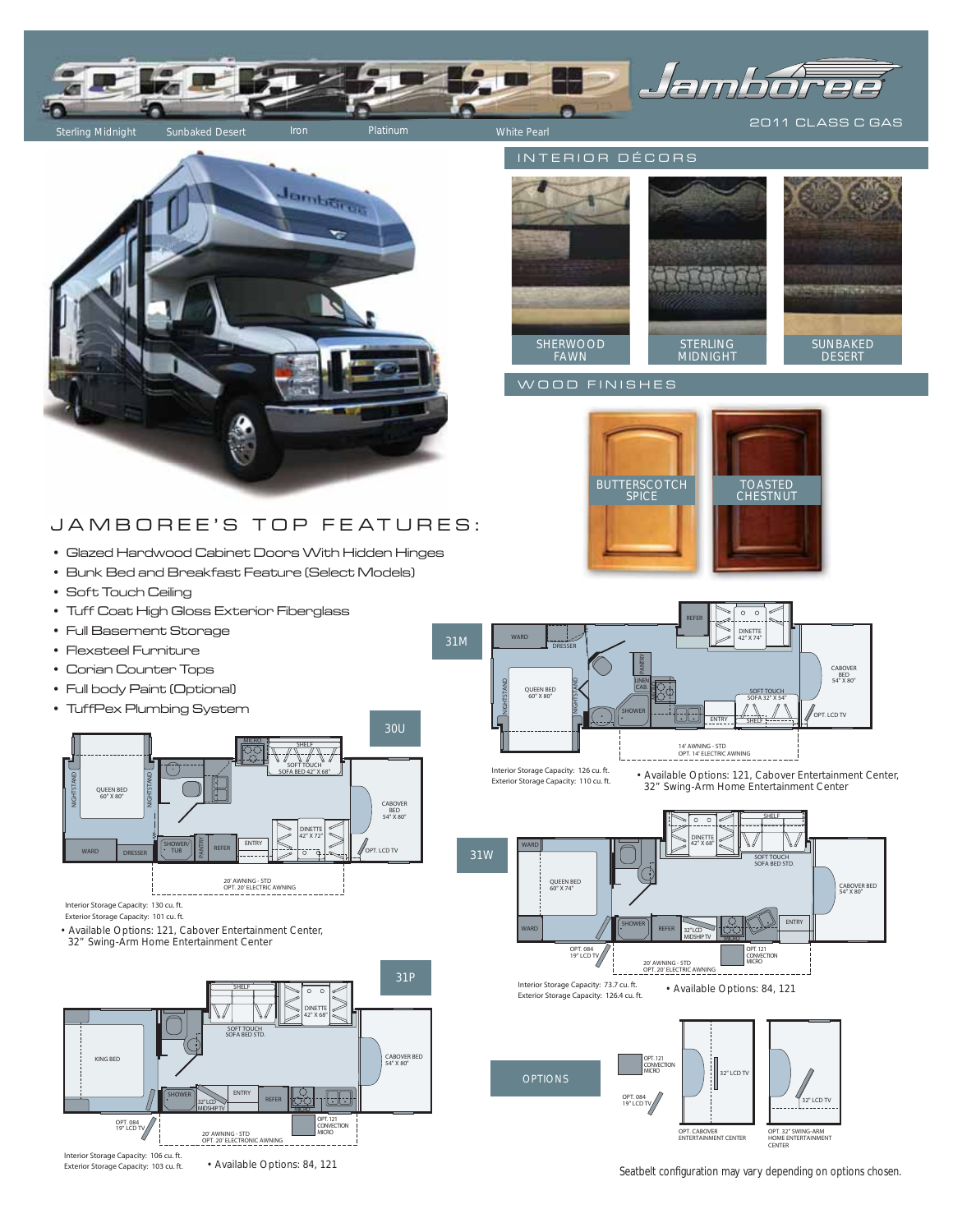



# JA MBOREE'S TOP FEATURES:

- Glazed Hardwood Cabinet Doors With Hidden Hinges
- Bunk Bed and Breakfast Feature (Select Models)
- Soft Touch Ceiling
- Tuff Coat High Gloss Exterior Fiberglass
- Full Basement Storage
- Flexsteel Furniture
- Corian Counter Tops
- Full body Paint (Optional)
- TuffPex Plumbing System



Interior Storage Capacity: 130 cu. ft. Exterior Storage Capacity: 101 cu. ft.

• Available Options: 121, Cabover Entertainment Center, 32" Swing-Arm Home Entertainment Center



Exterior Storage Capacity: 103 cu. ft.

• Available Options: 84, 121

INTERIOR DÉCORS



### WOOD FINISHES





• Available Options: 121, Cabover Entertainment Center, 32" Swing-Arm Home Entertainment Center



Seatbelt configuration may vary depending on options chosen.

..<br>ENT CENTER